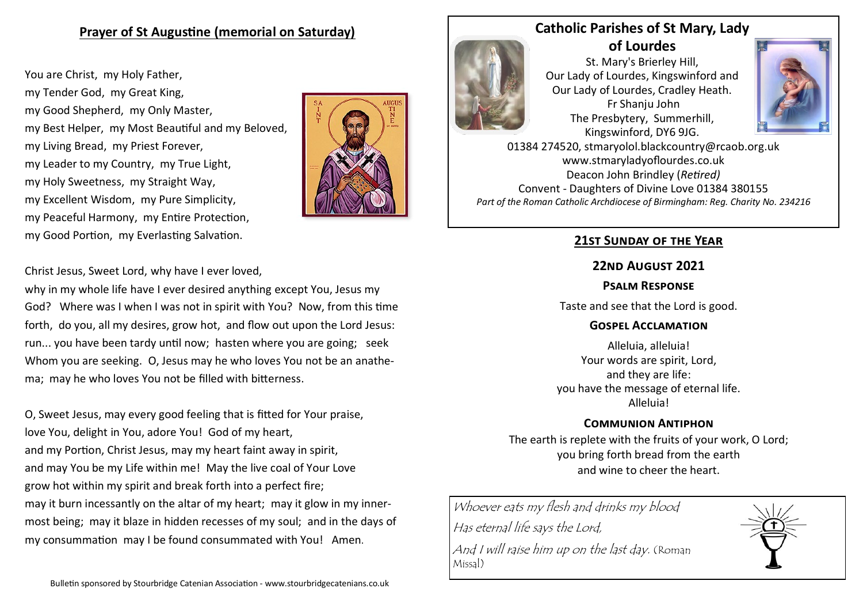# **Prayer of St Augustine (memorial on Saturday)**

You are Christ, my Holy Father, my Tender God, my Great King, my Good Shepherd, my Only Master, my Best Helper, my Most Beautiful and my Beloved, my Living Bread, my Priest Forever, my Leader to my Country, my True Light, my Holy Sweetness, my Straight Way, my Excellent Wisdom, my Pure Simplicity, my Peaceful Harmony, my Entire Protection, my Good Portion, my Everlasting Salvation.



#### Christ Jesus, Sweet Lord, why have I ever loved,

why in my whole life have I ever desired anything except You, Jesus my God? Where was I when I was not in spirit with You? Now, from this time forth, do you, all my desires, grow hot, and flow out upon the Lord Jesus: run... you have been tardy until now; hasten where you are going; seek Whom you are seeking. O, Jesus may he who loves You not be an anathema; may he who loves You not be filled with bitterness.

O, Sweet Jesus, may every good feeling that is fitted for Your praise, love You, delight in You, adore You! God of my heart, and my Portion, Christ Jesus, may my heart faint away in spirit, and may You be my Life within me! May the live coal of Your Love grow hot within my spirit and break forth into a perfect fire; may it burn incessantly on the altar of my heart; may it glow in my innermost being; may it blaze in hidden recesses of my soul; and in the days of my consummation may I be found consummated with You! Amen.

## **Catholic Parishes of St Mary, Lady of Lourdes**



St. Mary's Brierley Hill, Our Lady of Lourdes, Kingswinford and Our Lady of Lourdes, Cradley Heath. Fr Shanju John The Presbytery, Summerhill, Kingswinford, DY6 9JG.



01384 274520, stmaryolol.blackcountry@rcaob.org.uk www.stmaryladyoflourdes.co.uk Deacon John Brindley (*Retired)* Convent - Daughters of Divine Love 01384 380155 *Part of the Roman Catholic Archdiocese of Birmingham: Reg. Charity No. 234216*

## **21st Sunday of the Year**

### **22nd August 2021**

#### **Psalm Response**

Taste and see that the Lord is good.

### **Gospel Acclamation**

Alleluia, alleluia! Your words are spirit, Lord, and they are life: you have the message of eternal life. Alleluia!

## **Communion Antiphon**

The earth is replete with the fruits of your work, O Lord; you bring forth bread from the earth and wine to cheer the heart.

Whoever eats my flesh and drinks my blood Has eternal life says the Lord, And I will raise him up on the last day. (Roman Missal)